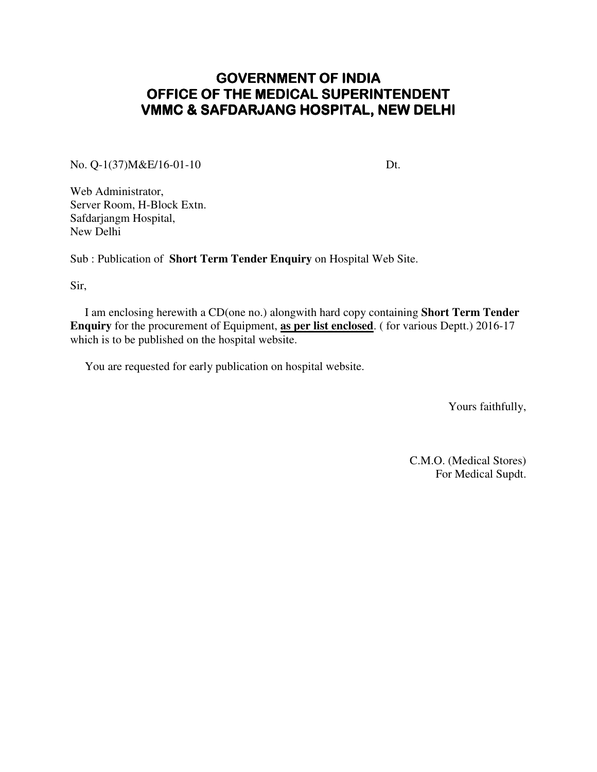# **GOVERNMENT OF INDIA** OFFICE OF THE MEDICAL SUPERINTENDENT VMMC & SAFDARJANG HOSPITAL, NEW DELHI

No. Q-1(37)M&E/16-01-10 Dt.

Web Administrator, Server Room, H-Block Extn. Safdarjangm Hospital, New Delhi

Sub : Publication of **Short Term Tender Enquiry** on Hospital Web Site.

Sir,

 I am enclosing herewith a CD(one no.) alongwith hard copy containing **Short Term Tender Enquiry** for the procurement of Equipment, **as per list enclosed**. ( for various Deptt.) 2016-17 which is to be published on the hospital website.

You are requested for early publication on hospital website.

Yours faithfully,

C.M.O. (Medical Stores) For Medical Supdt.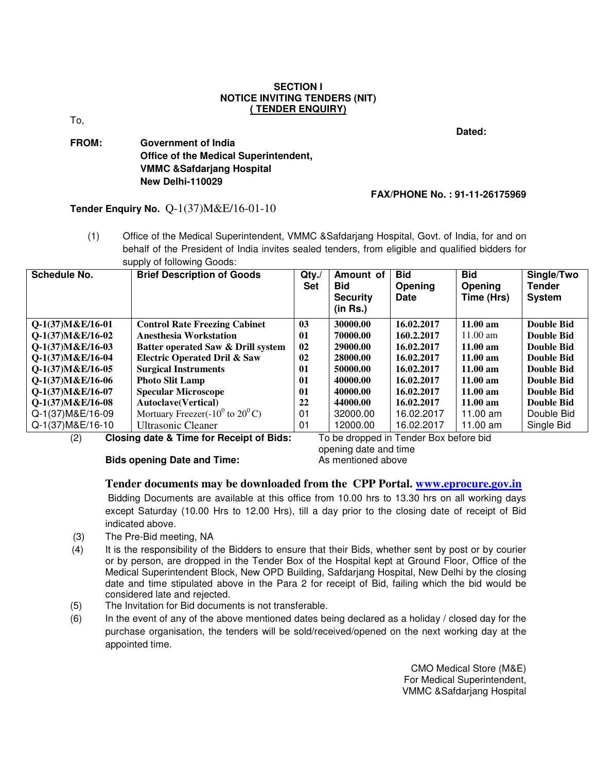#### **SECTION I NOTICE INVITING TENDERS (NIT) ( TENDER ENQUIRY)**

To,

**Dated:**  $\overline{\phantom{a}}$  **Dated:**  $\overline{\phantom{a}}$  **Dated:**  $\overline{\phantom{a}}$ 

### **FROM: Government of India Office of the Medical Superintendent, VMMC &Safdarjang Hospital New Delhi-110029**

#### **FAX/PHONE No. : 91-11-26175969**

## **Tender Enquiry No.** Q-1(37)M&E/16-01-10

(1) Office of the Medical Superintendent, VMMC &Safdarjang Hospital, Govt. of India, for and on behalf of the President of India invites sealed tenders, from eligible and qualified bidders for supply of following Goods:

| <b>Schedule No.</b> | <b>Brief Description of Goods</b>       | $Qty$ .<br><b>Set</b> | Amount of<br><b>Bid</b><br><b>Security</b><br>(in Rs.) | <b>Bid</b><br>Opening<br>Date | <b>Bid</b><br>Opening<br>Time (Hrs) | Single/Two<br><b>Tender</b><br><b>System</b> |
|---------------------|-----------------------------------------|-----------------------|--------------------------------------------------------|-------------------------------|-------------------------------------|----------------------------------------------|
| $Q-1(37)M\&E/16-01$ | <b>Control Rate Freezing Cabinet</b>    | 03                    | 30000.00                                               | 16.02.2017                    | $11.00 a$ m                         | Double Bid                                   |
| $Q-1(37)M\&E/16-02$ | <b>Anesthesia Workstation</b>           | 01                    | 70000.00                                               | 160.2.2017                    | $11.00 \text{ am}$                  | Double Bid                                   |
| $O-1(37)M\&E/16-03$ | Batter operated Saw & Drill system      | 02                    | 29000.00                                               | 16.02.2017                    | $11.00 \text{ am}$                  | Double Bid                                   |
| Q-1(37)M&E/16-04    | <b>Electric Operated Dril &amp; Saw</b> | 02                    | 28000.00                                               | 16.02.2017                    | $11.00 \text{ am}$                  | Double Bid                                   |
| $O-1(37)M\&E/16-05$ | <b>Surgical Instruments</b>             | 01                    | 50000.00                                               | 16.02.2017                    | $11.00 \text{ am}$                  | Double Bid                                   |
| $Q-1(37)M\&E/16-06$ | <b>Photo Slit Lamp</b>                  | 01                    | 40000.00                                               | 16.02.2017                    | $11.00 \text{ am}$                  | Double Bid                                   |
| $Q-1(37)M\&E/16-07$ | <b>Specular Microscope</b>              | 01                    | 40000.00                                               | 16.02.2017                    | $11.00 \text{ am}$                  | Double Bid                                   |
| $O-1(37)M\&E/16-08$ | <b>Autoclave</b> (Vertical)             | 22                    | 44000.00                                               | 16.02.2017                    | $11.00 \text{ am}$                  | Double Bid                                   |
| Q-1(37) M& E/16-09  | Mortuary Freezer(- $10^0$ to $20^0$ C)  | 01                    | 32000.00                                               | 16.02.2017                    | 11.00 $\text{am}$                   | Double Bid                                   |
| Q-1(37) M& E/16-10  | <b>Ultrasonic Cleaner</b>               | 01                    | 12000.00                                               | 16.02.2017                    | 11.00 $\text{am}$                   | Single Bid                                   |

(2) **Closing date & Time for Receipt of Bids:** To be dropped in Tender Box before bid

 opening date and time **Bids opening Date and Time:** As mentioned above

#### **Tender documents may be downloaded from the CPP Portal. www.eprocure.gov.in**

 Bidding Documents are available at this office from 10.00 hrs to 13.30 hrs on all working days except Saturday (10.00 Hrs to 12.00 Hrs), till a day prior to the closing date of receipt of Bid indicated above.

- (3) The Pre-Bid meeting, NA
- (4) It is the responsibility of the Bidders to ensure that their Bids, whether sent by post or by courier or by person, are dropped in the Tender Box of the Hospital kept at Ground Floor, Office of the Medical Superintendent Block, New OPD Building, Safdarjang Hospital, New Delhi by the closing date and time stipulated above in the Para 2 for receipt of Bid, failing which the bid would be considered late and rejected.
- (5) The Invitation for Bid documents is not transferable.
- (6) In the event of any of the above mentioned dates being declared as a holiday / closed day for the purchase organisation, the tenders will be sold/received/opened on the next working day at the appointed time.

CMO Medical Store (M&E) For Medical Superintendent, VMMC &Safdarjang Hospital